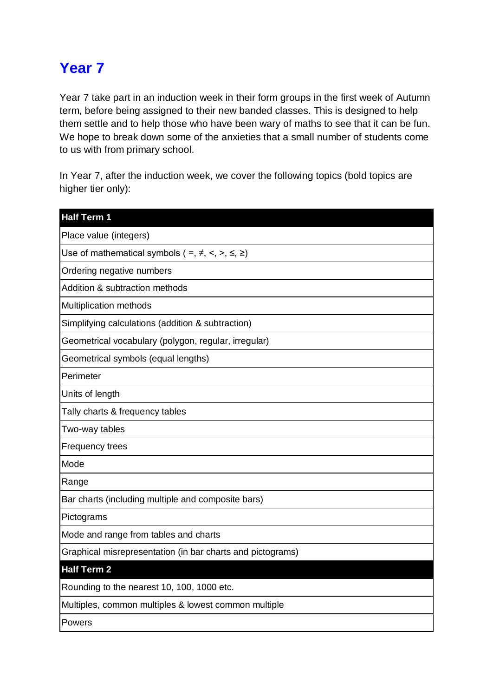## **Year 7**

Year 7 take part in an induction week in their form groups in the first week of Autumn term, before being assigned to their new banded classes. This is designed to help them settle and to help those who have been wary of maths to see that it can be fun. We hope to break down some of the anxieties that a small number of students come to us with from primary school.

In Year 7, after the induction week, we cover the following topics (bold topics are higher tier only):

| <b>Half Term 1</b>                                                |
|-------------------------------------------------------------------|
| Place value (integers)                                            |
| Use of mathematical symbols ( =, $\neq$ , <, >, $\leq$ , $\geq$ ) |
| Ordering negative numbers                                         |
| Addition & subtraction methods                                    |
| Multiplication methods                                            |
| Simplifying calculations (addition & subtraction)                 |
| Geometrical vocabulary (polygon, regular, irregular)              |
| Geometrical symbols (equal lengths)                               |
| Perimeter                                                         |
| Units of length                                                   |
| Tally charts & frequency tables                                   |
| Two-way tables                                                    |
| Frequency trees                                                   |
| Mode                                                              |
| Range                                                             |
| Bar charts (including multiple and composite bars)                |
| Pictograms                                                        |
| Mode and range from tables and charts                             |
| Graphical misrepresentation (in bar charts and pictograms)        |
| <b>Half Term 2</b>                                                |
| Rounding to the nearest 10, 100, 1000 etc.                        |
| Multiples, common multiples & lowest common multiple              |
| Powers                                                            |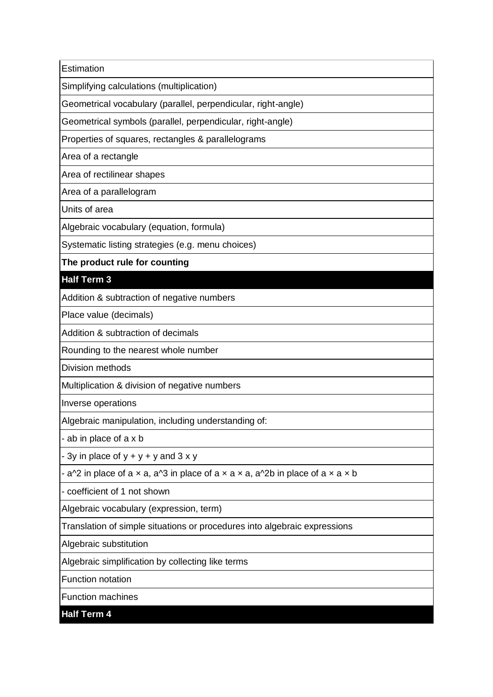**Estimation** 

Simplifying calculations (multiplication)

Geometrical vocabulary (parallel, perpendicular, right-angle)

Geometrical symbols (parallel, perpendicular, right-angle)

Properties of squares, rectangles & parallelograms

Area of a rectangle

Area of rectilinear shapes

Area of a parallelogram

Units of area

Algebraic vocabulary (equation, formula)

Systematic listing strategies (e.g. menu choices)

**The product rule for counting**

## **Half Term 3**

Addition & subtraction of negative numbers

Place value (decimals)

Addition & subtraction of decimals

Rounding to the nearest whole number

Division methods

Multiplication & division of negative numbers

Inverse operations

Algebraic manipulation, including understanding of:

- ab in place of a x b

- 3y in place of  $y + y + y$  and  $3 \times y$ 

- a^2 in place of a  $\times$  a, a^3 in place of a  $\times$  a  $\times$  a, a^2b in place of a  $\times$  a  $\times$  b

- coefficient of 1 not shown

Algebraic vocabulary (expression, term)

Translation of simple situations or procedures into algebraic expressions

Algebraic substitution

Algebraic simplification by collecting like terms

Function notation

Function machines

**Half Term 4**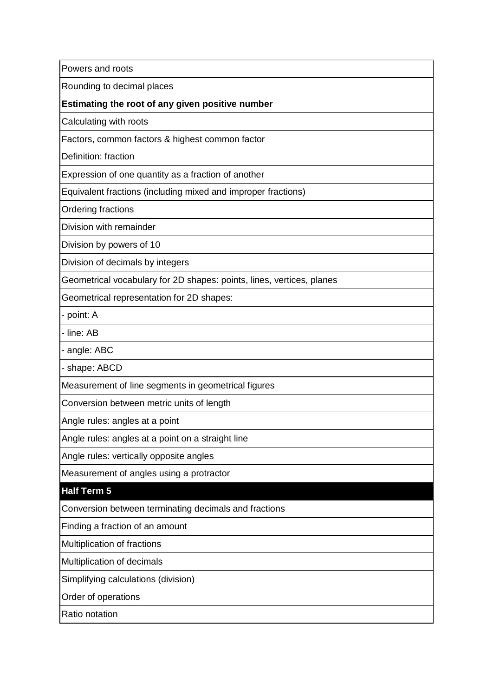Powers and roots

Rounding to decimal places

**Estimating the root of any given positive number**

Calculating with roots

Factors, common factors & highest common factor

Definition: fraction

Expression of one quantity as a fraction of another

Equivalent fractions (including mixed and improper fractions)

Ordering fractions

Division with remainder

Division by powers of 10

Division of decimals by integers

Geometrical vocabulary for 2D shapes: points, lines, vertices, planes

Geometrical representation for 2D shapes:

- point: A

- line: AB

- angle: ABC

- shape: ABCD

Measurement of line segments in geometrical figures

Conversion between metric units of length

Angle rules: angles at a point

Angle rules: angles at a point on a straight line

Angle rules: vertically opposite angles

Measurement of angles using a protractor

## **Half Term 5**

Conversion between terminating decimals and fractions

Finding a fraction of an amount

Multiplication of fractions

Multiplication of decimals

Simplifying calculations (division)

Order of operations

Ratio notation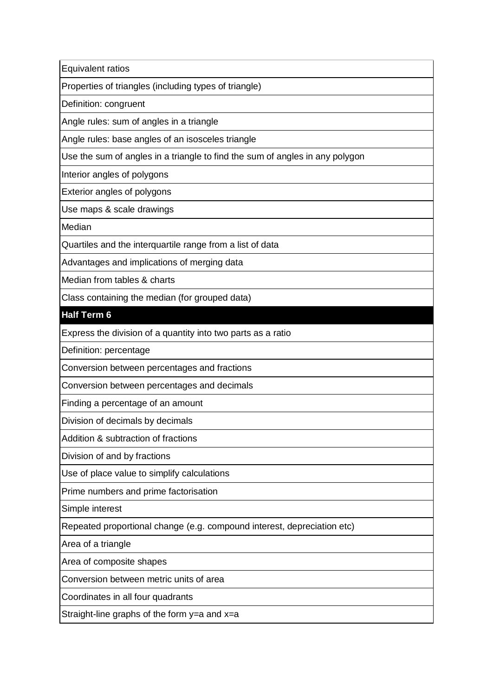Equivalent ratios

Properties of triangles (including types of triangle)

Definition: congruent

Angle rules: sum of angles in a triangle

Angle rules: base angles of an isosceles triangle

Use the sum of angles in a triangle to find the sum of angles in any polygon

Interior angles of polygons

Exterior angles of polygons

Use maps & scale drawings

Median

Quartiles and the interquartile range from a list of data

Advantages and implications of merging data

Median from tables & charts

Class containing the median (for grouped data)

## **Half Term 6**

Express the division of a quantity into two parts as a ratio

Definition: percentage

Conversion between percentages and fractions

Conversion between percentages and decimals

Finding a percentage of an amount

Division of decimals by decimals

Addition & subtraction of fractions

Division of and by fractions

Use of place value to simplify calculations

Prime numbers and prime factorisation

Simple interest

Repeated proportional change (e.g. compound interest, depreciation etc)

Area of a triangle

Area of composite shapes

Conversion between metric units of area

Coordinates in all four quadrants

Straight-line graphs of the form y=a and x=a